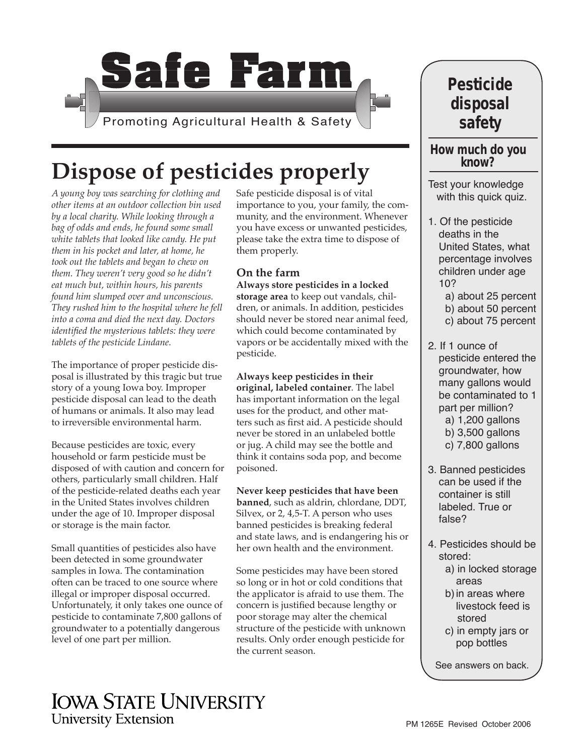

# **Dispose of pesticides properly**

*A young boy was searching for clothing and other items at an outdoor collection bin used by a local charity. While looking through a bag of odds and ends, he found some small white tablets that looked like candy. He put them in his pocket and later, at home, he took out the tablets and began to chew on them. They weren't very good so he didn't eat much but, within hours, his parents found him slumped over and unconscious. They rushed him to the hospital where he fell into a coma and died the next day. Doctors identified the mysterious tablets: they were tablets of the pesticide Lindane.*

The importance of proper pesticide disposal is illustrated by this tragic but true story of a young Iowa boy. Improper pesticide disposal can lead to the death of humans or animals. It also may lead to irreversible environmental harm.

Because pesticides are toxic, every household or farm pesticide must be disposed of with caution and concern for others, particularly small children. Half of the pesticide-related deaths each year in the United States involves children under the age of 10. Improper disposal or storage is the main factor.

Small quantities of pesticides also have been detected in some groundwater samples in Iowa. The contamination often can be traced to one source where illegal or improper disposal occurred. Unfortunately, it only takes one ounce of pesticide to contaminate 7,800 gallons of groundwater to a potentially dangerous level of one part per million.

Safe pesticide disposal is of vital importance to you, your family, the community, and the environment. Whenever you have excess or unwanted pesticides, please take the extra time to dispose of them properly.

#### **On the farm**

**Always store pesticides in a locked storage area** to keep out vandals, children, or animals. In addition, pesticides should never be stored near animal feed, which could become contaminated by vapors or be accidentally mixed with the pesticide.

**Always keep pesticides in their original, labeled container**. The label has important information on the legal uses for the product, and other matters such as first aid. A pesticide should never be stored in an unlabeled bottle or jug. A child may see the bottle and think it contains soda pop, and become poisoned.

**Never keep pesticides that have been banned**, such as aldrin, chlordane, DDT, Silvex, or 2, 4,5-T. A person who uses banned pesticides is breaking federal and state laws, and is endangering his or her own health and the environment.

Some pesticides may have been stored so long or in hot or cold conditions that the applicator is afraid to use them. The concern is justified because lengthy or poor storage may alter the chemical structure of the pesticide with unknown results. Only order enough pesticide for the current season.

## **Pesticide disposal safety**

# **How much do you know?**

Test your knowledge with this quick quiz.

- 1. Of the pesticide deaths in the United States, what percentage involves children under age 10?
	- a) about 25 percent
	- b) about 50 percent
	- c) about 75 percent
- 2. If 1 ounce of pesticide entered the groundwater, how many gallons would be contaminated to 1 part per million? a) 1,200 gallons
	- b) 3,500 gallons
	- c) 7,800 gallons
- 3. Banned pesticides can be used if the container is still labeled. True or false?
- 4. Pesticides should be stored:
	- a) in locked storage areas
	- b)in areas where livestock feed is stored
	- c) in empty jars or pop bottles

See answers on back.

## **IOWA STATE UNIVERSITY University Extension**